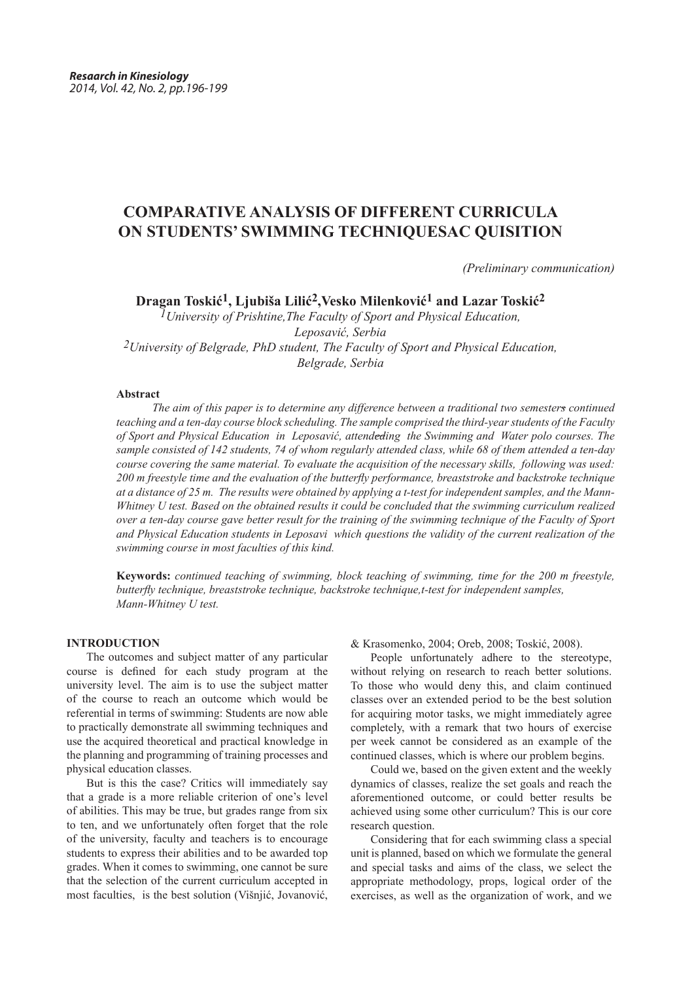# **COMPARATIVE ANALYSIS OF DIFFERENT CURRICULA ON STUDENTS' SWIMMING TECHNIQUESAC QUISITION**

 *(Preliminary communication)*

**Dragan Toskić1, Ljubiša Lilić2,Vesko Milenković1 and Lazar Toskić2**

*1University of Prishtine,The Faculty of Sport and Physical Education, Leposavić, Serbia 2University of Belgrade, PhD student, The Faculty of Sport and Physical Education, Belgrade, Serbia*

### **Abstract**

*The aim of this paper is to determine any difference between a traditional two semesters continued teaching and a ten-day course block scheduling. The sample comprised the third-year students of the Faculty of Sport and Physical Education in Leposavić, attendeding the Swimming and Water polo courses. The sample consisted of 142 students, 74 of whom regularly attended class, while 68 of them attended a ten-day course covering the same material. To evaluate the acquisition of the necessary skills, following was used: 200 m freestyle time and the evaluation of the butterfly performance, breaststroke and backstroke technique at a distance of 25 m. The results were obtained by applying a t-test for independent samples, and the Mann-Whitney U test. Based on the obtained results it could be concluded that the swimming curriculum realized over a ten-day course gave better result for the training of the swimming technique of the Faculty of Sport and Physical Education students in Leposavi which questions the validity of the current realization of the swimming course in most faculties of this kind.* 

**Keywords:** *continued teaching of swimming, block teaching of swimming, time for the 200 m freestyle, butterfly technique, breaststroke technique, backstroke technique,t-test for independent samples, Mann-Whitney U test.*

## **INTRODUCTION**

The outcomes and subject matter of any particular course is defined for each study program at the university level. The aim is to use the subject matter of the course to reach an outcome which would be referential in terms of swimming: Students are now able to practically demonstrate all swimming techniques and use the acquired theoretical and practical knowledge in the planning and programming of training processes and physical education classes.

But is this the case? Critics will immediately say that a grade is a more reliable criterion of one's level of abilities. This may be true, but grades range from six to ten, and we unfortunately often forget that the role of the university, faculty and teachers is to encourage students to express their abilities and to be awarded top grades. When it comes to swimming, one cannot be sure that the selection of the current curriculum accepted in most faculties, is the best solution (Višnjić, Јоvаnоvić, & Krаsоmеnkо, 2004; Oreb, 2008; Toskić, 2008).

People unfortunately adhere to the stereotype, without relying on research to reach better solutions. To those who would deny this, and claim continued classes over an extended period to be the best solution for acquiring motor tasks, we might immediately agree completely, with a remark that two hours of exercise per week cannot be considered as an example of the continued classes, which is where our problem begins.

Could we, based on the given extent and the weekly dynamics of classes, realize the set goals and reach the aforementioned outcome, or could better results be achieved using some other curriculum? This is our core research question.

Considering that for each swimming class a special unit is planned, based on which we formulate the general and special tasks and aims of the class, we select the appropriate methodology, props, logical order of the exercises, as well as the organization of work, and we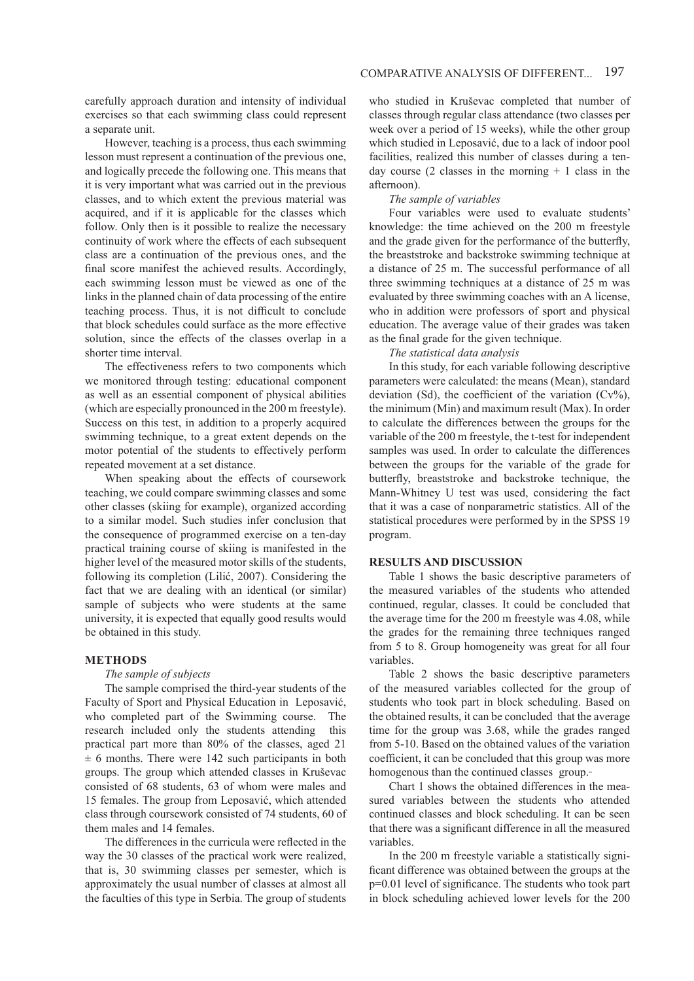carefully approach duration and intensity of individual exercises so that each swimming class could represent a separate unit.

However, teaching is a process, thus each swimming lesson must represent a continuation of the previous one, and logically precede the following one. This means that it is very important what was carried out in the previous classes, and to which extent the previous material was acquired, and if it is applicable for the classes which follow. Only then is it possible to realize the necessary continuity of work where the effects of each subsequent class are a continuation of the previous ones, and the final score manifest the achieved results. Accordingly, each swimming lesson must be viewed as one of the links in the planned chain of data processing of the entire teaching process. Thus, it is not difficult to conclude that block schedules could surface as the more effective solution, since the effects of the classes overlap in a shorter time interval.

The effectiveness refers to two components which we monitored through testing: educational component as well as an essential component of physical abilities (which are especially pronounced in the 200 m freestyle). Success on this test, in addition to a properly acquired swimming technique, to a great extent depends on the motor potential of the students to effectively perform repeated movement at a set distance.

When speaking about the effects of coursework teaching, we could compare swimming classes and some other classes (skiing for example), organized according to a similar model. Such studies infer conclusion that the consequence of programmed exercise on a ten-day practical training course of skiing is manifested in the higher level of the measured motor skills of the students, following its completion (Lilić, 2007). Considering the fact that we are dealing with an identical (or similar) sample of subjects who were students at the same university, it is expected that equally good results would be obtained in this study.

#### **METHODS**

## *The sample of subjects*

The sample comprised the third-year students of the Faculty of Sport and Physical Education in Leposavić, who completed part of the Swimming course.The research included only the students attending this practical part more than 80% of the classes, aged 21  $\pm$  6 months. There were 142 such participants in both groups. The group which attended classes in Kruševac consisted of 68 students, 63 of whom were males and 15 females. The group from Leposavić, which attended class through coursework consisted of 74 students, 60 of them males and 14 females.

The differences in the curricula were reflected in the way the 30 classes of the practical work were realized, that is, 30 swimming classes per semester, which is approximately the usual number of classes at almost all the faculties of this type in Serbia. The group of students

who studied in Kruševac completed that number of classes through regular class attendance (two classes per week over a period of 15 weeks), while the other group which studied in Leposavić, due to a lack of indoor pool facilities, realized this number of classes during a tenday course  $(2 \text{ classes in the morning } + 1 \text{ class in the})$ afternoon).

## *The sample of variables*

Four variables were used to evaluate students' knowledge: the time achieved on the 200 m freestyle and the grade given for the performance of the butterfly, the breaststroke and backstroke swimming technique at a distance of 25 m. The successful performance of all three swimming techniques at a distance of 25 m was evaluated by three swimming coaches with an А license, who in addition were professors of sport and physical education. The average value of their grades was taken as the final grade for the given technique.

*The statistical data analysis*

In this study, for each variable following descriptive parameters were calculated: the means (Mean), standard deviation (Sd), the coefficient of the variation  $(Cv\%)$ , the minimum (Min) and maximum result (Max). In order to calculate the differences between the groups for the variable of the 200 m freestyle, the t-test for independent samples was used. In order to calculate the differences between the groups for the variable of the grade for butterfly, breaststroke and backstroke technique, the Mann-Whitney U test was used, considering the fact that it was a case of nonparametric statistics. All of the statistical procedures were performed by in the SPSS 19 program.

### **RESULTS AND DISCUSSION**

Table 1 shows the basic descriptive parameters of the measured variables of the students who attended continued, regular, classes. It could be concluded that the average time for the 200 m freestyle was 4.08, while the grades for the remaining three techniques ranged from 5 to 8. Group homogeneity was great for all four variables.

Table 2 shows the basic descriptive parameters of the measured variables collected for the group of students who took part in block scheduling. Based on the obtained results, it can be concluded that the average time for the group was 3.68, while the grades ranged from 5-10. Based on the obtained values of the variation coefficient, it can be concluded that this group was more homogenous than the continued classes group.

Chart 1 shows the obtained differences in the measured variables between the students who attended continued classes and block scheduling. It can be seen that there was a significant difference in all the measured variables.

In the 200 m freestyle variable a statistically significant difference was obtained between the groups at the p=0.01 level of significance. The students who took part in block scheduling achieved lower levels for the 200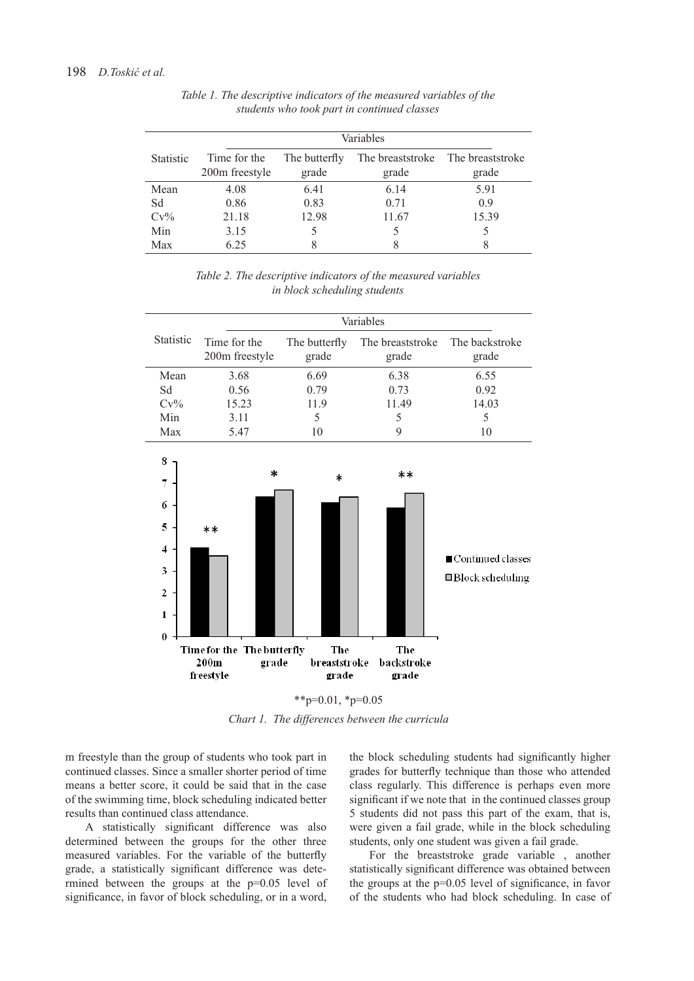|                  | Variables                                  |                        |                           |                           |  |  |
|------------------|--------------------------------------------|------------------------|---------------------------|---------------------------|--|--|
| <b>Statistic</b> | Time for the<br>200 <sub>m</sub> freestyle | The butterfly<br>grade | The breaststroke<br>grade | The breaststroke<br>grade |  |  |
| Mean             | 4.08                                       | 6.41                   | 6.14                      | 5.91                      |  |  |
| Sd               | 0.86                                       | 0.83                   | 0.71                      | 0.9                       |  |  |
| $Cv\%$           | 21.18                                      | 12.98                  | 11.67                     | 15.39                     |  |  |
| Min              | 3.15                                       |                        |                           | 5                         |  |  |
| Max              | 6.25                                       | 8                      | 8                         | 8                         |  |  |

*Table 1. The descriptive indicators of the measured variables of the students who took part in continued classes*

*Table 2. The descriptive indicators of the measured variables in block scheduling students* 

|                  | Variables                                  |                        |                           |                         |  |
|------------------|--------------------------------------------|------------------------|---------------------------|-------------------------|--|
| <b>Statistic</b> | Time for the<br>200 <sub>m</sub> freestyle | The butterfly<br>grade | The breaststroke<br>grade | The backstroke<br>grade |  |
| Mean             | 3.68                                       | 6.69                   | 6.38                      | 6.55                    |  |
| Sd               | 0.56                                       | 0.79                   | 0.73                      | 0.92                    |  |
| $Cv\%$           | 15.23                                      | 11.9                   | 11.49                     | 14.03                   |  |
| Min              | 3.11                                       | 5                      | 5                         | 5                       |  |
| Max              | 5.47                                       | 10                     | 9                         | 10                      |  |
| 8                | ×                                          | ala.                   | $**$                      |                         |  |



 $*$  $p=0.01$ ,  $*$  $p=0.05$ 

*Chart 1. The differences between the curricula*

m freestyle than the group of students who took part in continued classes. Since a smaller shorter period of time means a better score, it could be said that in the case of the swimming time, block scheduling indicated better results than continued class attendance.

A statistically significant difference was also determined between the groups for the other three measured variables. For the variable of the butterfly grade, a statistically significant difference was determined between the groups at the p=0.05 level of significance, in favor of block scheduling, or in a word,

the block scheduling students had significantly higher grades for butterfly technique than those who attended class regularly. This difference is perhaps even more significant if we note that in the continued classes group 5 students did not pass this part of the exam, that is, were given a fail grade, while in the block scheduling students, only one student was given a fail grade.

For the breaststroke grade variable , another statistically significant difference was obtained between the groups at the p=0.05 level of significance, in favor of the students who had block scheduling. In case of